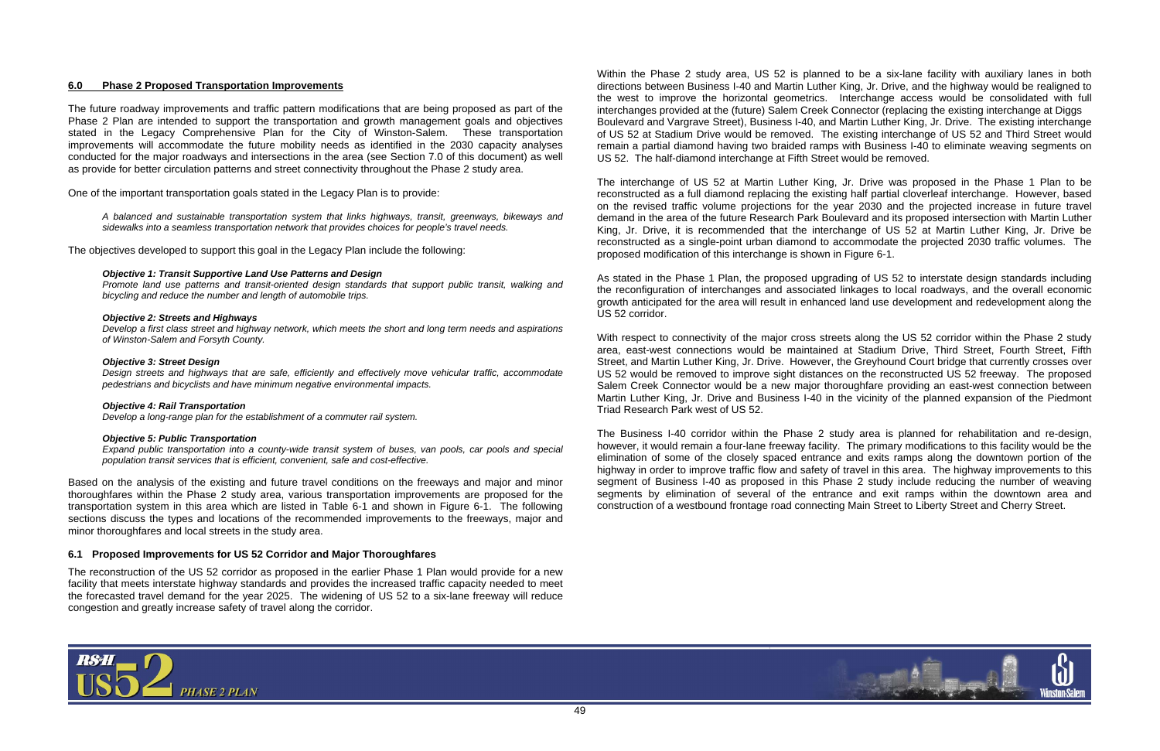

# **6.0 Phase 2 Proposed Transportation Improvements**

The future roadway improvements and traffic pattern modifications that are being proposed as part of the Phase 2 Plan are intended to support the transportation and growth management goals and objectives stated in the Legacy Comprehensive Plan for the City of Winston-Salem. These transportation improvements will accommodate the future mobility needs as identified in the 2030 capacity analyses conducted for the major roadways and intersections in the area (see Section 7.0 of this document) as well as provide for better circulation patterns and street connectivity throughout the Phase 2 study area.

One of the important transportation goals stated in the Legacy Plan is to provide:

*A balanced and sustainable transportation system that links highways, transit, greenways, bikeways and sidewalks into a seamless transportation network that provides choices for people's travel needs.*

The objectives developed to support this goal in the Legacy Plan include the following:

## *Objective 1: Transit Supportive Land Use Patterns and Design*

*Promote land use patterns and transit-oriented design standards that support public transit, walking and bicycling and reduce the number and length of automobile trips.* 

## *Objective 2: Streets and Highways*

*Develop a first class street and highway network, which meets the short and long term needs and aspirations of Winston-Salem and Forsyth County.* 

## *Objective 3: Street Design*

*Design streets and highways that are safe, efficiently and effectively move vehicular traffic, accommodate pedestrians and bicyclists and have minimum negative environmental impacts.* 

#### *Objective 4: Rail Transportation*

*Develop a long-range plan for the establishment of a commuter rail system.* 

#### *Objective 5: Public Transportation*

*Expand public transportation into a county-wide transit system of buses, van pools, car pools and special population transit services that is efficient, convenient, safe and cost-effective.* 

Based on the analysis of the existing and future travel conditions on the freeways and major and minor thoroughfares within the Phase 2 study area, various transportation improvements are proposed for the transportation system in this area which are listed in Table 6-1 and shown in Figure 6-1. The following sections discuss the types and locations of the recommended improvements to the freeways, major and minor thoroughfares and local streets in the study area.

# **6.1 Proposed Improvements for US 52 Corridor and Major Thoroughfares**

With respect to connectivity of the major cross streets along the US 52 corridor within the Phase 2 study area, east-west connections would be maintained at Stadium Drive, Third Street, Fourth Street, Fifth Street, and Martin Luther King, Jr. Drive. However, the Greyhound Court bridge that currently crosses over US 52 would be removed to improve sight distances on the reconstructed US 52 freeway. The proposed Salem Creek Connector would be a new major thoroughfare providing an east-west connection between Martin Luther King, Jr. Drive and Business I-40 in the vicinity of the planned expansion of the Piedmont Triad Research Park west of US 52.

The reconstruction of the US 52 corridor as proposed in the earlier Phase 1 Plan would provide for a new facility that meets interstate highway standards and provides the increased traffic capacity needed to meet the forecasted travel demand for the year 2025. The widening of US 52 to a six-lane freeway will reduce congestion and greatly increase safety of travel along the corridor.

Within the Phase 2 study area, US 52 is planned to be a six-lane facility with auxiliary lanes in both directions between Business I-40 and Martin Luther King, Jr. Drive, and the highway would be realigned to the west to improve the horizontal geometrics. Interchange access would be consolidated with full interchanges provided at the (future) Salem Creek Connector (replacing the existing interchange at Diggs Boulevard and Vargrave Street), Business I-40, and Martin Luther King, Jr. Drive. The existing interchange of US 52 at Stadium Drive would be removed. The existing interchange of US 52 and Third Street would remain a partial diamond having two braided ramps with Business I-40 to eliminate weaving segments on US 52. The half-diamond interchange at Fifth Street would be removed.

The interchange of US 52 at Martin Luther King, Jr. Drive was proposed in the Phase 1 Plan to be reconstructed as a full diamond replacing the existing half partial cloverleaf interchange. However, based on the revised traffic volume projections for the year 2030 and the projected increase in future travel demand in the area of the future Research Park Boulevard and its proposed intersection with Martin Luther King, Jr. Drive, it is recommended that the interchange of US 52 at Martin Luther King, Jr. Drive be reconstructed as a single-point urban diamond to accommodate the projected 2030 traffic volumes. The proposed modification of this interchange is shown in Figure 6-1.

As stated in the Phase 1 Plan, the proposed upgrading of US 52 to interstate design standards including the reconfiguration of interchanges and associated linkages to local roadways, and the overall economic growth anticipated for the area will result in enhanced land use development and redevelopment along the US 52 corridor.

The Business I-40 corridor within the Phase 2 study area is planned for rehabilitation and re-design, however, it would remain a four-lane freeway facility. The primary modifications to this facility would be the elimination of some of the closely spaced entrance and exits ramps along the downtown portion of the highway in order to improve traffic flow and safety of travel in this area. The highway improvements to this segment of Business I-40 as proposed in this Phase 2 study include reducing the number of weaving segments by elimination of several of the entrance and exit ramps within the downtown area and construction of a westbound frontage road connecting Main Street to Liberty Street and Cherry Street.

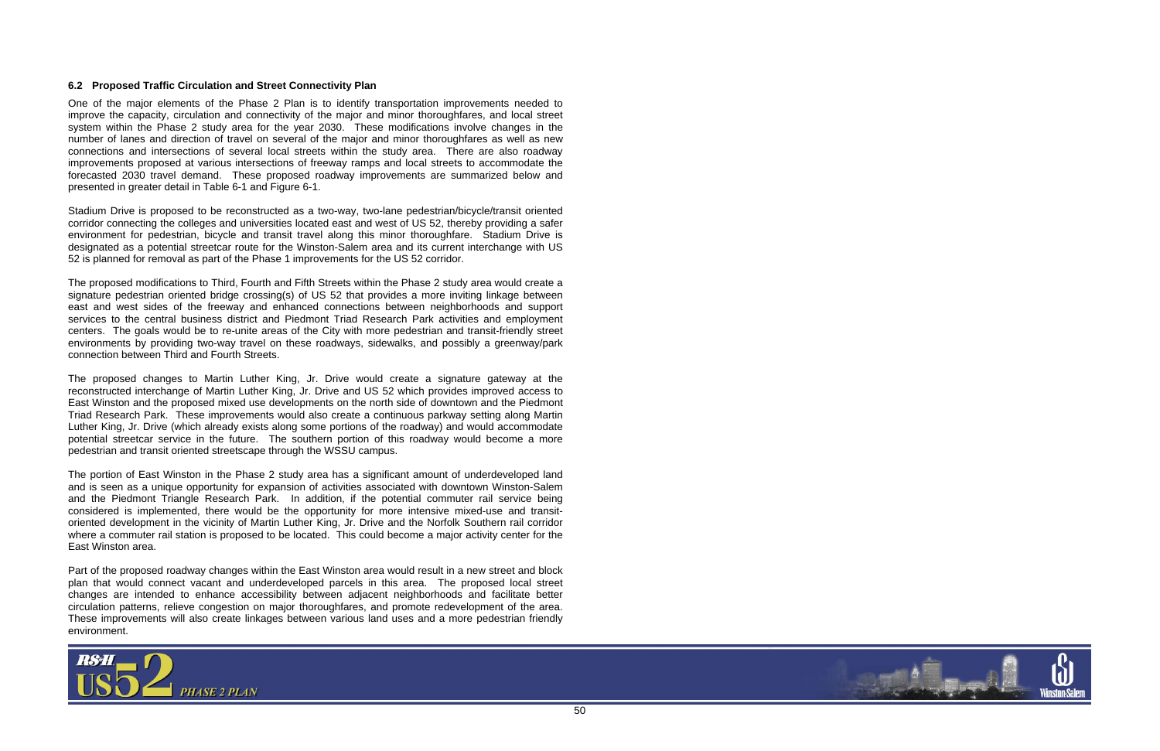

# **6.2 Proposed Traffic Circulation and Street Connectivity Plan**

One of the major elements of the Phase 2 Plan is to identify transportation improvements needed to improve the capacity, circulation and connectivity of the major and minor thoroughfares, and local street system within the Phase 2 study area for the year 2030. These modifications involve changes in the number of lanes and direction of travel on several of the major and minor thoroughfares as well as new connections and intersections of several local streets within the study area. There are also roadway improvements proposed at various intersections of freeway ramps and local streets to accommodate the forecasted 2030 travel demand. These proposed roadway improvements are summarized below and presented in greater detail in Table 6-1 and Figure 6-1.

Stadium Drive is proposed to be reconstructed as a two-way, two-lane pedestrian/bicycle/transit oriented corridor connecting the colleges and universities located east and west of US 52, thereby providing a safer environment for pedestrian, bicycle and transit travel along this minor thoroughfare. Stadium Drive is designated as a potential streetcar route for the Winston-Salem area and its current interchange with US 52 is planned for removal as part of the Phase 1 improvements for the US 52 corridor.

The proposed modifications to Third, Fourth and Fifth Streets within the Phase 2 study area would create a signature pedestrian oriented bridge crossing(s) of US 52 that provides a more inviting linkage between east and west sides of the freeway and enhanced connections between neighborhoods and support services to the central business district and Piedmont Triad Research Park activities and employment centers. The goals would be to re-unite areas of the City with more pedestrian and transit-friendly street environments by providing two-way travel on these roadways, sidewalks, and possibly a greenway/park connection between Third and Fourth Streets.

The proposed changes to Martin Luther King, Jr. Drive would create a signature gateway at the reconstructed interchange of Martin Luther King, Jr. Drive and US 52 which provides improved access to East Winston and the proposed mixed use developments on the north side of downtown and the Piedmont Triad Research Park. These improvements would also create a continuous parkway setting along Martin Luther King, Jr. Drive (which already exists along some portions of the roadway) and would accommodate potential streetcar service in the future. The southern portion of this roadway would become a more pedestrian and transit oriented streetscape through the WSSU campus.

The portion of East Winston in the Phase 2 study area has a significant amount of underdeveloped land and is seen as a unique opportunity for expansion of activities associated with downtown Winston-Salem and the Piedmont Triangle Research Park. In addition, if the potential commuter rail service being considered is implemented, there would be the opportunity for more intensive mixed-use and transitoriented development in the vicinity of Martin Luther King, Jr. Drive and the Norfolk Southern rail corridor where a commuter rail station is proposed to be located. This could become a major activity center for the East Winston area.

Part of the proposed roadway changes within the East Winston area would result in a new street and block plan that would connect vacant and underdeveloped parcels in this area. The proposed local street changes are intended to enhance accessibility between adjacent neighborhoods and facilitate better circulation patterns, relieve congestion on major thoroughfares, and promote redevelopment of the area. These improvements will also create linkages between various land uses and a more pedestrian friendly environment.

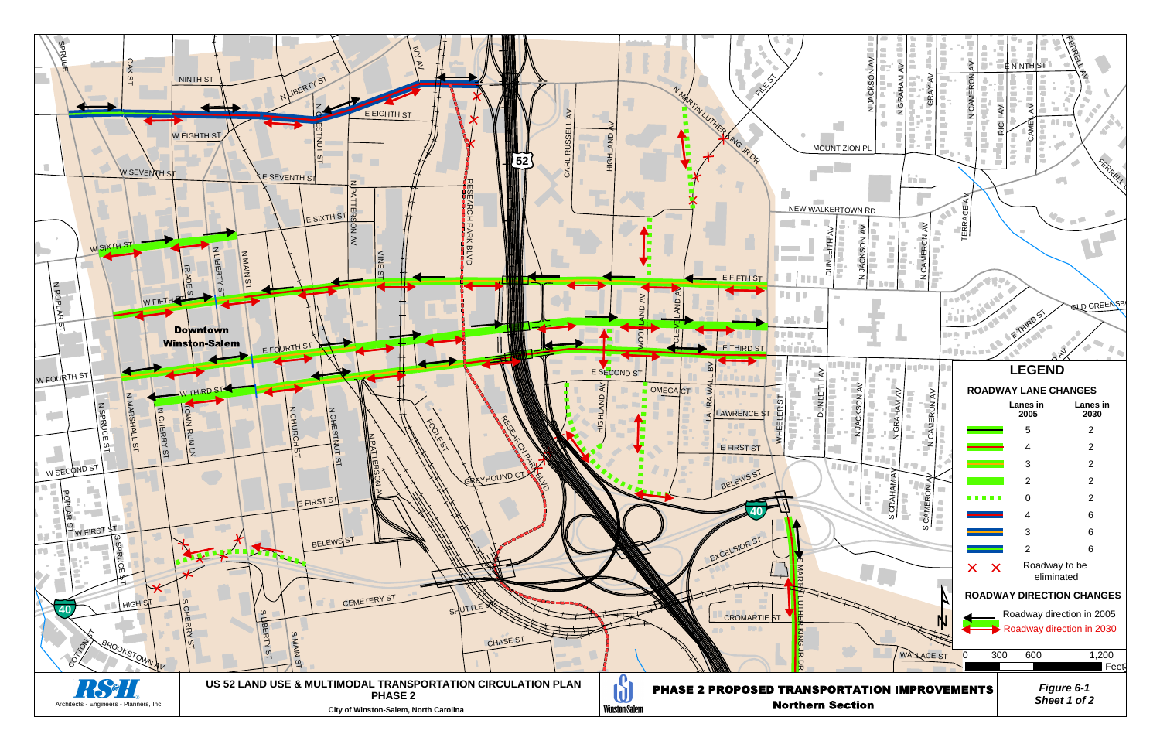